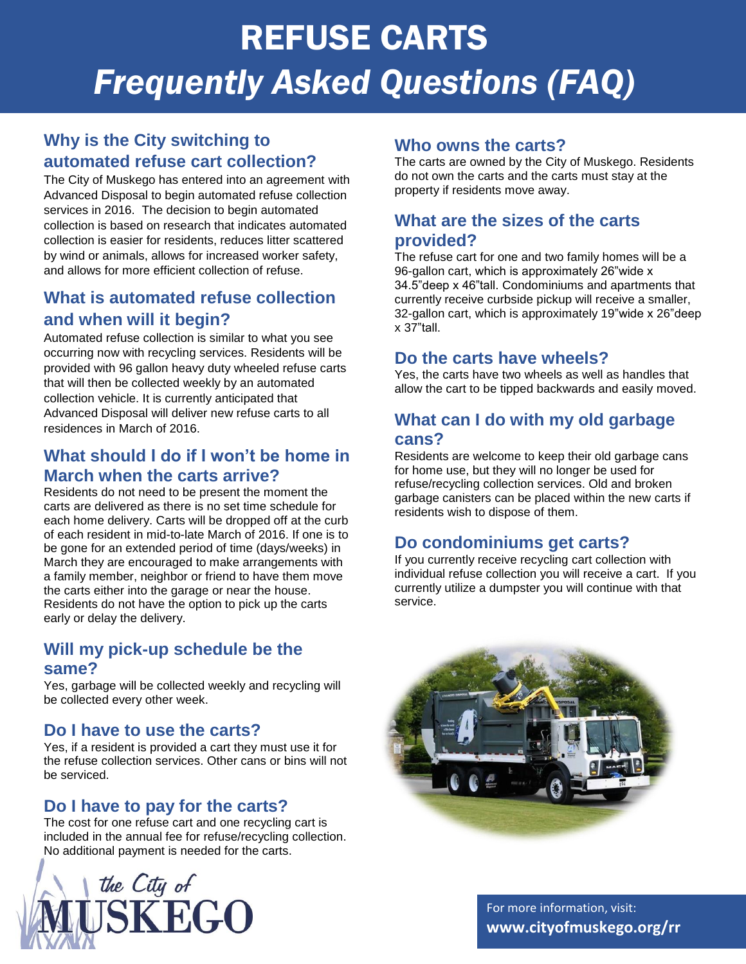# REFUSE CARTS *Frequently Asked Questions (FAQ)*

# **Why is the City switching to automated refuse cart collection?**

The City of Muskego has entered into an agreement with Advanced Disposal to begin automated refuse collection services in 2016. The decision to begin automated collection is based on research that indicates automated collection is easier for residents, reduces litter scattered by wind or animals, allows for increased worker safety, and allows for more efficient collection of refuse.

# **What is automated refuse collection and when will it begin?**

Automated refuse collection is similar to what you see occurring now with recycling services. Residents will be provided with 96 gallon heavy duty wheeled refuse carts that will then be collected weekly by an automated collection vehicle. It is currently anticipated that Advanced Disposal will deliver new refuse carts to all residences in March of 2016.

## **What should I do if I won't be home in March when the carts arrive?**

Residents do not need to be present the moment the carts are delivered as there is no set time schedule for each home delivery. Carts will be dropped off at the curb of each resident in mid-to-late March of 2016. If one is to be gone for an extended period of time (days/weeks) in March they are encouraged to make arrangements with a family member, neighbor or friend to have them move the carts either into the garage or near the house. Residents do not have the option to pick up the carts early or delay the delivery.

## **Will my pick-up schedule be the same?**

Yes, garbage will be collected weekly and recycling will be collected every other week.

## **Do I have to use the carts?**

Yes, if a resident is provided a cart they must use it for the refuse collection services. Other cans or bins will not be serviced.

# **Do I have to pay for the carts?**

The cost for one refuse cart and one recycling cart is included in the annual fee for refuse/recycling collection. No additional payment is needed for the carts.



#### **Who owns the carts?**

The carts are owned by the City of Muskego. Residents do not own the carts and the carts must stay at the property if residents move away.

## **What are the sizes of the carts provided?**

The refuse cart for one and two family homes will be a 96-gallon cart, which is approximately 26"wide x 34.5"deep x 46"tall. Condominiums and apartments that currently receive curbside pickup will receive a smaller, 32-gallon cart, which is approximately 19"wide x 26"deep x 37"tall.

#### **Do the carts have wheels?**

Yes, the carts have two wheels as well as handles that allow the cart to be tipped backwards and easily moved.

#### **What can I do with my old garbage cans?**

Residents are welcome to keep their old garbage cans for home use, but they will no longer be used for refuse/recycling collection services. Old and broken garbage canisters can be placed within the new carts if residents wish to dispose of them.

# **Do condominiums get carts?**

If you currently receive recycling cart collection with individual refuse collection you will receive a cart. If you currently utilize a dumpster you will continue with that service.



For more information, visit: **www.cityofmuskego.org/rr**